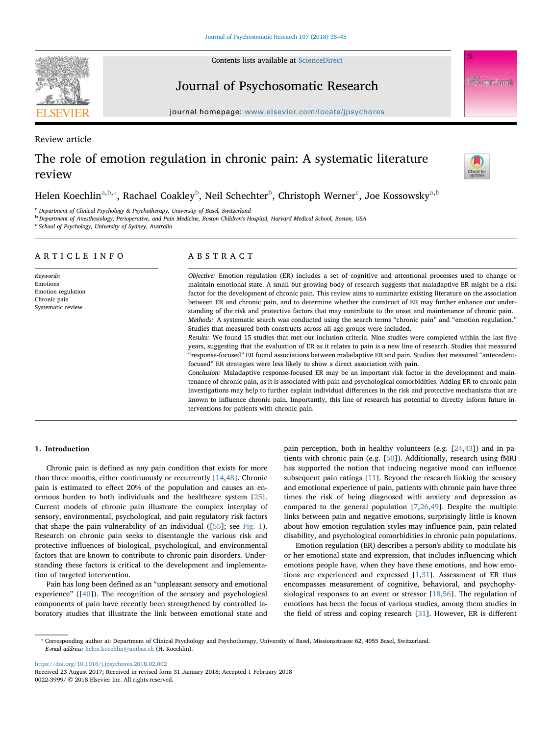Contents lists available at [ScienceDirect](http://www.sciencedirect.com/science/journal/00223999)



Journal of Psychosomatic Research

journal home page: [www.elsevier.com/locate/jpsychores](https://www.elsevier.com/locate/jpsychores).com/locate/

Review article

# The role of emotion regulation in chronic pain: A systematic literature review



Helen Koechlin<sup>[a](#page-0-0),[b](#page-0-1),</sup>\*, Ra[c](#page-0-3)hael Coakley<sup>b</sup>, Neil Schechter<sup>b</sup>, Christoph Werner<sup>c</sup>, Joe Kossowsky<sup>a[,b](#page-0-1)</sup>

<span id="page-0-0"></span><sup>a</sup> Department of Clinical Psychology & Psychotherapy, University of Basel, Switzerland

<span id="page-0-1"></span>b Department of Anesthesiology, Perioperative, and Pain Medicine, Boston Children's Hospital, Harvard Medical School, Boston, USA

<span id="page-0-3"></span><sup>c</sup> School of Psychology, University of Sydney, Australia

|--|

Keywords: Emotions Emotion regulation Chronic pain Systematic review

## ABSTRACT

Objective: Emotion regulation (ER) includes a set of cognitive and attentional processes used to change or maintain emotional state. A small but growing body of research suggests that maladaptive ER might be a risk factor for the development of chronic pain. This review aims to summarize existing literature on the association between ER and chronic pain, and to determine whether the construct of ER may further enhance our understanding of the risk and protective factors that may contribute to the onset and maintenance of chronic pain. Methods: A systematic search was conducted using the search terms "chronic pain" and "emotion regulation." Studies that measured both constructs across all age groups were included.

Results: We found 15 studies that met our inclusion criteria. Nine studies were completed within the last five years, suggesting that the evaluation of ER as it relates to pain is a new line of research. Studies that measured "response-focused" ER found associations between maladaptive ER and pain. Studies that measured "antecedentfocused" ER strategies were less likely to show a direct association with pain.

Conclusion: Maladaptive response-focused ER may be an important risk factor in the development and maintenance of chronic pain, as it is associated with pain and psychological comorbidities. Adding ER to chronic pain investigations may help to further explain individual differences in the risk and protective mechanisms that are known to influence chronic pain. Importantly, this line of research has potential to directly inform future interventions for patients with chronic pain.

#### 1. Introduction

Chronic pain is defined as any pain condition that exists for more than three months, either continuously or recurrently [[14,](#page-6-0)[48](#page-7-0)]. Chronic pain is estimated to effect 20% of the population and causes an enormous burden to both individuals and the healthcare system [\[25](#page-6-1)]. Current models of chronic pain illustrate the complex interplay of sensory, environmental, psychological, and pain regulatory risk factors that shape the pain vulnerability of an individual ([[55\]](#page-7-1); see [Fig. 1](#page-1-0)). Research on chronic pain seeks to disentangle the various risk and protective influences of biological, psychological, and environmental factors that are known to contribute to chronic pain disorders. Understanding these factors is critical to the development and implementation of targeted intervention.

Pain has long been defined as an "unpleasant sensory and emotional experience" ([[40\]](#page-7-2)). The recognition of the sensory and psychological components of pain have recently been strengthened by controlled laboratory studies that illustrate the link between emotional state and pain perception, both in healthy volunteers (e.g. [\[24](#page-6-2)[,43](#page-7-3)]) and in patients with chronic pain (e.g. [[50\]](#page-7-4)). Additionally, research using fMRI has supported the notion that inducing negative mood can influence subsequent pain ratings [\[11](#page-6-3)]. Beyond the research linking the sensory and emotional experience of pain, patients with chronic pain have three times the risk of being diagnosed with anxiety and depression as compared to the general population [[7](#page-6-4)[,26](#page-6-5),[49\]](#page-7-5). Despite the multiple links between pain and negative emotions, surprisingly little is known about how emotion regulation styles may influence pain, pain-related disability, and psychological comorbidities in chronic pain populations.

Emotion regulation (ER) describes a person's ability to modulate his or her emotional state and expression, that includes influencing which emotions people have, when they have these emotions, and how emotions are experienced and expressed [\[1,](#page-6-6)[31](#page-7-6)]. Assessment of ER thus encompasses measurement of cognitive, behavioral, and psychophysiological responses to an event or stressor [[18,](#page-6-7)[56\]](#page-7-7). The regulation of emotions has been the focus of various studies, among them studies in the field of stress and coping research [\[31](#page-7-6)]. However, ER is different

<https://doi.org/10.1016/j.jpsychores.2018.02.002>

<span id="page-0-2"></span><sup>⁎</sup> Corresponding author at: Department of Clinical Psychology and Psychotherapy, University of Basel, Missionsstrasse 62, 4055 Basel, Switzerland. E-mail address: [helen.koechlin@unibas.ch](mailto:helen.koechlin@unibas.ch) (H. Koechlin).

Received 23 August 2017; Received in revised form 31 January 2018; Accepted 1 February 2018 0022-3999/ © 2018 Elsevier Inc. All rights reserved.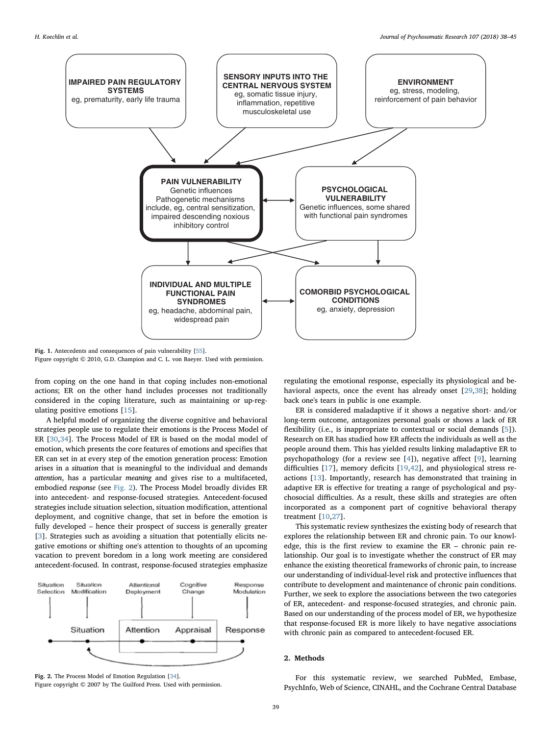<span id="page-1-0"></span>

Fig. 1. Antecedents and consequences of pain vulnerability [\[55\]](#page-7-1). Figure copyright © 2010, G.D. Champion and C. L. von Baeyer. Used with permission.

from coping on the one hand in that coping includes non-emotional actions; ER on the other hand includes processes not traditionally considered in the coping literature, such as maintaining or up-regulating positive emotions [[15\]](#page-6-8).

A helpful model of organizing the diverse cognitive and behavioral strategies people use to regulate their emotions is the Process Model of ER [[30,](#page-7-8)[34\]](#page-7-9). The Process Model of ER is based on the modal model of emotion, which presents the core features of emotions and specifies that ER can set in at every step of the emotion generation process: Emotion arises in a situation that is meaningful to the individual and demands attention, has a particular meaning and gives rise to a multifaceted, embodied response (see [Fig. 2](#page-1-1)). The Process Model broadly divides ER into antecedent- and response-focused strategies. Antecedent-focused strategies include situation selection, situation modification, attentional deployment, and cognitive change, that set in before the emotion is fully developed – hence their prospect of success is generally greater [[3](#page-6-9)]. Strategies such as avoiding a situation that potentially elicits negative emotions or shifting one's attention to thoughts of an upcoming vacation to prevent boredom in a long work meeting are considered antecedent-focused. In contrast, response-focused strategies emphasize

<span id="page-1-1"></span>

Fig. 2. The Process Model of Emotion Regulation [\[34](#page-7-9)].

Figure copyright © 2007 by The Guilford Press. Used with permission.

regulating the emotional response, especially its physiological and behavioral aspects, once the event has already onset [\[29](#page-7-10)[,38](#page-7-11)]; holding back one's tears in public is one example.

ER is considered maladaptive if it shows a negative short- and/or long-term outcome, antagonizes personal goals or shows a lack of ER flexibility (i.e., is inappropriate to contextual or social demands [[5](#page-6-10)]). Research on ER has studied how ER affects the individuals as well as the people around them. This has yielded results linking maladaptive ER to psychopathology (for a review see [[4](#page-6-11)]), negative affect [\[9\]](#page-6-12), learning difficulties [\[17](#page-6-13)], memory deficits [[19,](#page-6-14)[42\]](#page-7-12), and physiological stress reactions [\[13](#page-6-15)]. Importantly, research has demonstrated that training in adaptive ER is effective for treating a range of psychological and psychosocial difficulties. As a result, these skills and strategies are often incorporated as a component part of cognitive behavioral therapy treatment [\[10](#page-6-16)[,27](#page-7-13)].

This systematic review synthesizes the existing body of research that explores the relationship between ER and chronic pain. To our knowledge, this is the first review to examine the ER – chronic pain relationship. Our goal is to investigate whether the construct of ER may enhance the existing theoretical frameworks of chronic pain, to increase our understanding of individual-level risk and protective influences that contribute to development and maintenance of chronic pain conditions. Further, we seek to explore the associations between the two categories of ER, antecedent- and response-focused strategies, and chronic pain. Based on our understanding of the process model of ER, we hypothesize that response-focused ER is more likely to have negative associations with chronic pain as compared to antecedent-focused ER.

## 2. Methods

For this systematic review, we searched PubMed, Embase, PsychInfo, Web of Science, CINAHL, and the Cochrane Central Database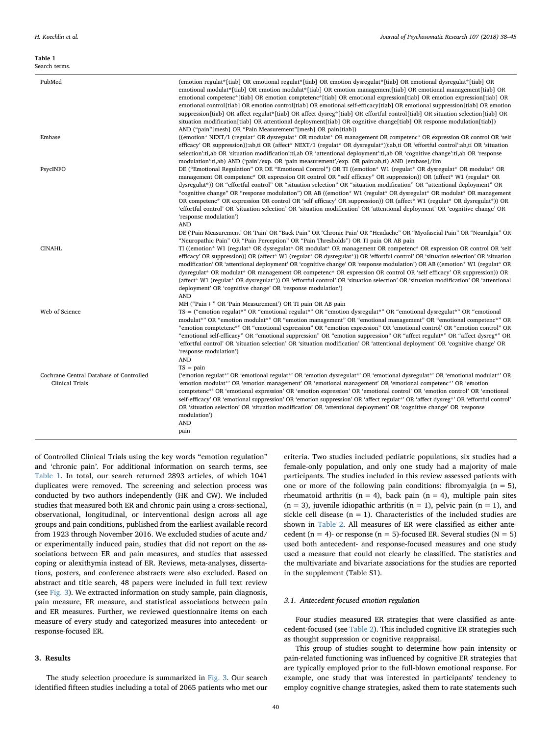#### <span id="page-2-0"></span>Table 1 Search terms.

| PubMed                                                     | (emotion regulat*[tiab] OR emotional regulat*[tiab] OR emotion dysregulat*[tiab] OR emotional dysregulat*[tiab] OR<br>emotional modulat*[tiab] OR emotion modulat*[tiab] OR emotion management[tiab] OR emotional management[tiab] OR<br>emotional competenc*[tiab] OR emotion comptetenc*[tiab] OR emotional expression[tiab] OR emotion expression[tiab] OR<br>emotional control[tiab] OR emotion control[tiab] OR emotional self-efficacy[tiab] OR emotional suppression[tiab] OR emotion<br>suppression[tiab] OR affect regulat*[tiab] OR affect dysreg*[tiab] OR effortful control[tiab] OR situation selection[tiab] OR<br>situation modification[tiab] OR attentional deployment[tiab] OR cognitive change[tiab] OR response modulation[tiab])<br>AND ("pain"[mesh] OR "Pain Measurement"[mesh] OR pain[tiab])                                                              |
|------------------------------------------------------------|------------------------------------------------------------------------------------------------------------------------------------------------------------------------------------------------------------------------------------------------------------------------------------------------------------------------------------------------------------------------------------------------------------------------------------------------------------------------------------------------------------------------------------------------------------------------------------------------------------------------------------------------------------------------------------------------------------------------------------------------------------------------------------------------------------------------------------------------------------------------------------|
| Embase                                                     | ((emotion* NEXT/1 (regulat* OR dysregulat* OR modulat* OR management OR competenc* OR expression OR control OR 'self<br>efficacy' OR suppression)):ab,ti OR (affect* NEXT/1 (regulat* OR dysregulat*)):ab,ti OR 'effortful control':ab,ti OR 'situation<br>selection':ti,ab OR 'situation modification':ti,ab OR 'attentional deployment':ti,ab OR 'cognitive change':ti,ab OR 'response<br>modulation':ti,ab) AND ('pain'/exp. OR 'pain measurement'/exp. OR pain:ab,ti) AND [embase]/lim                                                                                                                                                                                                                                                                                                                                                                                         |
| PsycINFO                                                   | DE ("Emotional Regulation" OR DE "Emotional Control") OR TI ((emotion* W1 (regulat* OR dysregulat* OR modulat* OR<br>management OR competenc <sup>*</sup> OR expression OR control OR "self efficacy" OR suppression)) OR (affect <sup>*</sup> W1 (regulat <sup>*</sup> OR<br>dysregulat*)) OR "effortful control" OR "situation selection" OR "situation modification" OR "attentional deployment" OR<br>"cognitive change" OR "response modulation") OR AB ((emotion* W1 (regulat* OR dysregulat* OR modulat* OR management<br>OR competenc <sup>*</sup> OR expression OR control OR 'self efficacy' OR suppression)) OR (affect <sup>*</sup> W1 (regulat <sup>*</sup> OR dysregulat <sup>*</sup> )) OR<br>'effortful control' OR 'situation selection' OR 'situation modification' OR 'attentional deployment' OR 'cognitive change' OR<br>'response modulation')<br><b>AND</b> |
|                                                            | DE ('Pain Measurement' OR 'Pain' OR "Back Pain" OR 'Chronic Pain' OR "Headache" OR "Myofascial Pain" OR "Neuralgia" OR                                                                                                                                                                                                                                                                                                                                                                                                                                                                                                                                                                                                                                                                                                                                                             |
| <b>CINAHL</b>                                              | "Neuropathic Pain" OR "Pain Perception" OR "Pain Thresholds") OR TI pain OR AB pain<br>TI ((emotion* W1 (regulat* OR dysregulat* OR modulat* OR management OR competenc* OR expression OR control OR 'self<br>efficacy' OR suppression)) OR (affect* W1 (regulat* OR dysregulat*)) OR 'effortful control' OR 'situation selection' OR 'situation<br>modification' OR 'attentional deployment' OR 'cognitive change' OR 'response modulation') OR AB ((emotion* W1 (regulat* OR<br>dysregulat* OR modulat* OR management OR competenc* OR expression OR control OR 'self efficacy' OR suppression)) OR<br>(affect* W1 (regulat* OR dysregulat*)) OR 'effortful control' OR 'situation selection' OR 'situation modification' OR 'attentional<br>deployment' OR 'cognitive change' OR 'response modulation')<br><b>AND</b>                                                           |
|                                                            | MH ("Pain +" OR 'Pain Measurement') OR TI pain OR AB pain                                                                                                                                                                                                                                                                                                                                                                                                                                                                                                                                                                                                                                                                                                                                                                                                                          |
| Web of Science                                             | $TS =$ ("emotion regulat*" OR "emotional regulat*" OR "emotion dysregulat*" OR "emotional dysregulat*" OR "emotional<br>modulat*" OR "emotion modulat*" OR "emotion management" OR "emotional management" OR "emotional competenc*" OR<br>"emotion comptetenc*" OR "emotional expression" OR "emotion expression" OR 'emotional control' OR "emotion control" OR<br>"emotional self-efficacy" OR "emotional suppression" OR "emotion suppression" OR "affect regulat*" OR "affect dysreg*" OR<br>'effortful control' OR 'situation selection' OR 'situation modification' OR 'attentional deployment' OR 'cognitive change' OR<br>'response modulation')<br><b>AND</b>                                                                                                                                                                                                             |
|                                                            | $TS = pain$                                                                                                                                                                                                                                                                                                                                                                                                                                                                                                                                                                                                                                                                                                                                                                                                                                                                        |
| Cochrane Central Database of Controlled<br>Clinical Trials | ('emotion regulat*' OR 'emotional regulat*' OR 'emotion dysregulat*' OR 'emotional dysregulat*' OR 'emotional modulat*' OR<br>'emotion modulat*' OR 'emotion management' OR 'emotional management' OR 'emotional competenc*' OR 'emotion<br>comptetenc <sup>*</sup> OR 'emotional expression' OR 'emotion expression' OR 'emotional control' OR 'emotion control' OR 'emotional<br>self-efficacy' OR 'emotional suppression' OR 'emotion suppression' OR 'affect regulat*' OR 'affect dysreg*' OR 'effortful control'<br>OR 'situation selection' OR 'situation modification' OR 'attentional deployment' OR 'cognitive change' OR 'response<br>modulation')<br><b>AND</b><br>pain                                                                                                                                                                                                 |

of Controlled Clinical Trials using the key words "emotion regulation" and 'chronic pain'. For additional information on search terms, see [Table 1](#page-2-0). In total, our search returned 2893 articles, of which 1041 duplicates were removed. The screening and selection process was conducted by two authors independently (HK and CW). We included studies that measured both ER and chronic pain using a cross-sectional, observational, longitudinal, or interventional design across all age groups and pain conditions, published from the earliest available record from 1923 through November 2016. We excluded studies of acute and/ or experimentally induced pain, studies that did not report on the associations between ER and pain measures, and studies that assessed coping or alexithymia instead of ER. Reviews, meta-analyses, dissertations, posters, and conference abstracts were also excluded. Based on abstract and title search, 48 papers were included in full text review (see [Fig. 3\)](#page-3-0). We extracted information on study sample, pain diagnosis, pain measure, ER measure, and statistical associations between pain and ER measures. Further, we reviewed questionnaire items on each measure of every study and categorized measures into antecedent- or response-focused ER.

## 3. Results

The study selection procedure is summarized in [Fig. 3.](#page-3-0) Our search identified fifteen studies including a total of 2065 patients who met our criteria. Two studies included pediatric populations, six studies had a female-only population, and only one study had a majority of male participants. The studies included in this review assessed patients with one or more of the following pain conditions: fibromyalgia  $(n = 5)$ , rheumatoid arthritis (n = 4), back pain (n = 4), multiple pain sites  $(n = 3)$ , juvenile idiopathic arthritis  $(n = 1)$ , pelvic pain  $(n = 1)$ , and sickle cell disease ( $n = 1$ ). Characteristics of the included studies are shown in [Table 2](#page-4-0). All measures of ER were classified as either antecedent (n = 4)- or response (n = 5)-focused ER. Several studies ( $N = 5$ ) used both antecedent- and response-focused measures and one study used a measure that could not clearly be classified. The statistics and the multivariate and bivariate associations for the studies are reported in the supplement (Table S1).

### 3.1. Antecedent-focused emotion regulation

Four studies measured ER strategies that were classified as antecedent-focused (see [Table 2](#page-4-0)). This included cognitive ER strategies such as thought suppression or cognitive reappraisal.

This group of studies sought to determine how pain intensity or pain-related functioning was influenced by cognitive ER strategies that are typically employed prior to the full-blown emotional response. For example, one study that was interested in participants' tendency to employ cognitive change strategies, asked them to rate statements such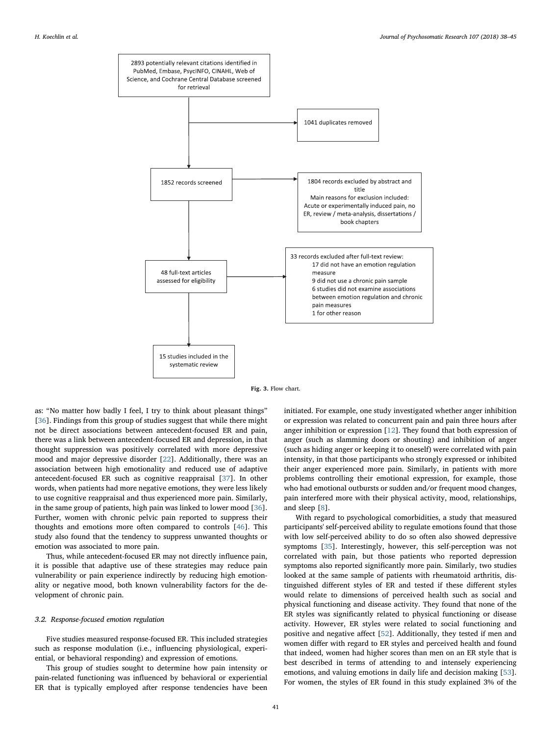<span id="page-3-0"></span>



as: "No matter how badly I feel, I try to think about pleasant things" [[36\]](#page-7-14). Findings from this group of studies suggest that while there might not be direct associations between antecedent-focused ER and pain, there was a link between antecedent-focused ER and depression, in that thought suppression was positively correlated with more depressive mood and major depressive disorder [[22\]](#page-6-17). Additionally, there was an association between high emotionality and reduced use of adaptive antecedent-focused ER such as cognitive reappraisal [[37\]](#page-7-15). In other words, when patients had more negative emotions, they were less likely to use cognitive reappraisal and thus experienced more pain. Similarly, in the same group of patients, high pain was linked to lower mood [\[36](#page-7-14)]. Further, women with chronic pelvic pain reported to suppress their thoughts and emotions more often compared to controls [\[46](#page-7-16)]. This study also found that the tendency to suppress unwanted thoughts or emotion was associated to more pain.

Thus, while antecedent-focused ER may not directly influence pain, it is possible that adaptive use of these strategies may reduce pain vulnerability or pain experience indirectly by reducing high emotionality or negative mood, both known vulnerability factors for the development of chronic pain.

#### 3.2. Response-focused emotion regulation

Five studies measured response-focused ER. This included strategies such as response modulation (i.e., influencing physiological, experiential, or behavioral responding) and expression of emotions.

This group of studies sought to determine how pain intensity or pain-related functioning was influenced by behavioral or experiential ER that is typically employed after response tendencies have been

initiated. For example, one study investigated whether anger inhibition or expression was related to concurrent pain and pain three hours after anger inhibition or expression [[12\]](#page-6-18). They found that both expression of anger (such as slamming doors or shouting) and inhibition of anger (such as hiding anger or keeping it to oneself) were correlated with pain intensity, in that those participants who strongly expressed or inhibited their anger experienced more pain. Similarly, in patients with more problems controlling their emotional expression, for example, those who had emotional outbursts or sudden and/or frequent mood changes, pain interfered more with their physical activity, mood, relationships, and sleep [\[8\]](#page-6-19).

With regard to psychological comorbidities, a study that measured participants' self-perceived ability to regulate emotions found that those with low self-perceived ability to do so often also showed depressive symptoms [[35\]](#page-7-17). Interestingly, however, this self-perception was not correlated with pain, but those patients who reported depression symptoms also reported significantly more pain. Similarly, two studies looked at the same sample of patients with rheumatoid arthritis, distinguished different styles of ER and tested if these different styles would relate to dimensions of perceived health such as social and physical functioning and disease activity. They found that none of the ER styles was significantly related to physical functioning or disease activity. However, ER styles were related to social functioning and positive and negative affect [\[52](#page-7-18)]. Additionally, they tested if men and women differ with regard to ER styles and perceived health and found that indeed, women had higher scores than men on an ER style that is best described in terms of attending to and intensely experiencing emotions, and valuing emotions in daily life and decision making [\[53](#page-7-19)]. For women, the styles of ER found in this study explained 3% of the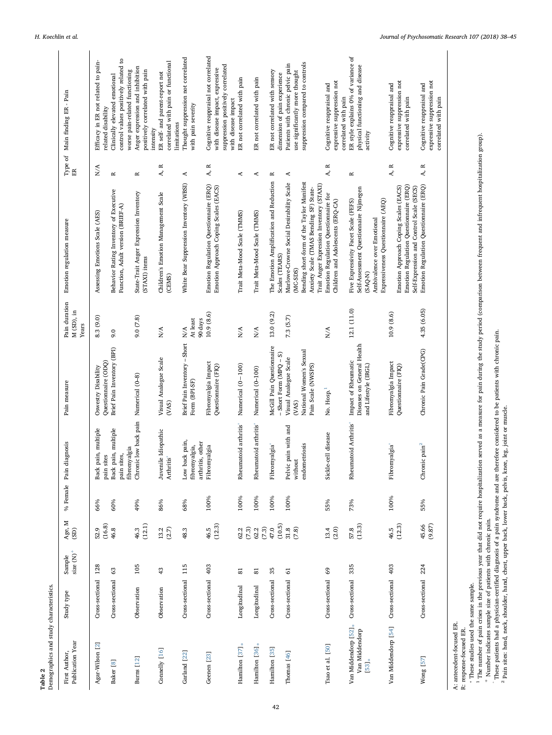|                             | emographics and study characteristics |  |
|-----------------------------|---------------------------------------|--|
|                             |                                       |  |
|                             |                                       |  |
| $\mathbf{\hat{c}}$<br>Table |                                       |  |

| Publication Year<br>First Author,                              | Study type          | size $(N)^+$<br>Sample | Age, $M$<br>(SD)  | % Female Pain | diagnosis                                                    | Pain measure                                                                    | Pain duration<br>$M(SD)$ , in<br>Years | Emotion regulation measure                                                                                                                                                              | Type of<br>$\mathbb H$ | Main finding ER - Pain                                                                                                              |
|----------------------------------------------------------------|---------------------|------------------------|-------------------|---------------|--------------------------------------------------------------|---------------------------------------------------------------------------------|----------------------------------------|-----------------------------------------------------------------------------------------------------------------------------------------------------------------------------------------|------------------------|-------------------------------------------------------------------------------------------------------------------------------------|
| Agar-Wilson [2]                                                | Cross-sectional     | 128                    | (16.8)<br>52.9    | 66%           | pain, multiple<br>sites<br><b>Back</b><br>pain               | Questiomaire (ODQ)<br>Oswestry Disability                                       | 8.3 (9.0)                              | Assessing Emotions Scale (AES)                                                                                                                                                          | N/A                    | Efficacy in ER not related to pain-<br>related disability                                                                           |
| Baker [8]                                                      | Cross-sectional     | $\mathbb{S}^3$         | 46.8              | 60%           | pain, multiple<br>fibromyalgia<br>pain sites,<br><b>Back</b> | Brief Pain Inventory (BPI)                                                      | 9.0                                    | Behavior Rating Inventory of Executive<br>Function, Adult version (BRIEF-A)                                                                                                             | $\approx$              | g<br>control values positively related<br>worse pain-related functioning<br>Clinically elevated emotional                           |
| Burns [12]                                                     | Observation         | 105                    | (12.1)<br>46.3    | 49%           | Chronic low back pain                                        | Numerical (0-8)                                                                 | 9.0(T.8)                               | State-Trait Anger Expression Inventory<br>(STAXI) items                                                                                                                                 | $\approx$              | Anger expression and inhibition<br>positively correlated with pain<br>intensity                                                     |
| Connelly [16]                                                  | Observation         | 43                     | $(2.7)$<br>13.2   | 86%           | Juvenile Idiopathic<br>Arthritis <sup>®</sup>                | Visual Analogue Scale<br>(8A)                                                   | $N\!/\!A$                              | Children's Emotion Management Scale<br>(CEMS)                                                                                                                                           | $\approx$<br>А,        | correlated with pain or functional<br>ER self- and parent-report not<br>limitations                                                 |
| Garland [22]                                                   | Cross-sectional     | 115                    | 48.3              | 68%           | Low back pain,<br>arthritis, other<br>fibromyalgia,          | Brief Pain Inventory - Short<br>Form (BPI-SF)                                   | At least<br>90 days<br>$N/\Lambda$     | White Bear Suppression Inventory (WBSI)                                                                                                                                                 | ≺                      | Thought suppression not correlated<br>with pain severity                                                                            |
| Geenen [23]                                                    | Cross-sectional     | 403                    | (12.3)<br>46.5    | 100%          | Fibromyalgia                                                 | Fibromyalgia Impact<br>Questionnaire (FIQ)                                      | 10.9 (8.6)                             | Emotion Regulation Questionnaire (ERQ)<br>Emotion Approach Coping Scales (EACS)                                                                                                         | $\approx$<br>A,        | Cognitive reappraisal not correlated<br>suppression positively correlated<br>with disease impact, expressive<br>with disease impact |
| Hamilton [37] <sub>*</sub>                                     | Longitudinal        | $\overline{\text{}}$   | 62.2<br>$(7.3)$   | 100%          | Rheumatoid arthritis°                                        | Numerical $(0-100)$                                                             | $N/\Lambda$                            | Trait Meta-Mood Scale (TMMS)                                                                                                                                                            | ≺                      | ER not correlated with pain                                                                                                         |
| Hamilton [36] <sub>*</sub>                                     | Longitudinal        | $\overline{\text{8}}$  | 62.2<br>$(7.3)$   | 100%          | Rheumatoid arthritis                                         | Numerical (0-100)                                                               | $N/\Lambda$                            | Trait Meta-Mood Scale (TMMS)                                                                                                                                                            | ⋖                      | ER not correlated with pain                                                                                                         |
| Hamilton [35]                                                  | Cross-sectional     | 35                     | (10.5)<br>47.0    | 100%          | Fibromyalgia <sup>°</sup>                                    | McGill Pain Questionnaire<br>$-$ Short Form (MPQ $-$ S)                         | 13.0 (9.2)                             | The Emotion Amplification and Reduction<br>Scales (TEARS)                                                                                                                               | ĸ                      | ER not correlated with sensory<br>dimension of pain experience                                                                      |
| Thomas [46]                                                    | Cross-sectional     | $\mathfrak{S}$         | $31.8$<br>$(7.8)$ | 100%          | Pelvic pain with and<br>endometriosis<br>without             | National Women's Sexual<br>Visual Analogue Scale<br>Pain Scale (NWSPS)<br>(NAS) | 7.3 (5.7)                              | Bending short-form of the Taylor Manifest<br>Marlowe-Crowne Social Desirability Scale<br>Trait Anger Expression Inventory (STAXI)<br>Anxiety Scale (TMAS Bending SF) State-<br>$MC-SDS$ | A                      | suppression compared to controls<br>Patients with chronic pelvic pain<br>use significantly more thought                             |
| Tsao et al. [50]                                               | Cross-sectional     | 69                     | (2.0)<br>13.4     | 55%           | Sickle-cell disease                                          | No. Hosp. <sup>1</sup>                                                          | N/A                                    | Emotion Regulation Questionnaire for<br>Children and Adolescents (ERQ-CA)                                                                                                               | $\approx$<br>A,        | expressive suppression not<br>Cognitive reappraisal and<br>correlated with pain                                                     |
| Van Middendorp [52] <sub>*</sub><br>Van Middendorp<br>$[53]_*$ | Cross-sectional     | 335                    | (13.3)<br>57.8    | 73%           | Rheumatoid Arthritis <sup>®</sup>                            | Diseases on General Health<br>Impact of Rheumatic<br>and Lifestyle (IRGL)       | 12.1 (11.0)                            | Self-Assessment Questionnaire Nijmegen<br>Five Expressivity Facet Scale (FEFS)<br>Expressiveness Questionnaire (AEQ)<br>Ambivalence over Emotional<br>(SAQ-N)                           | R                      | ER style explains 0% of variance of<br>physical functioning and disease<br>activity                                                 |
| Van Middendorp [54]                                            | Cross-sectional     | 403                    | (12.3)<br>46.5    | 100%          | Fibromyalgia                                                 | Fibromyalgia Impact<br>Questiomaire (FIQ)                                       | 10.9(8.6)                              | Emotion Regulation Questionnaire (ERQ)<br>Emotion Approach Coping Scales (EACS)                                                                                                         | $\approx$<br>Ą,        | expressive suppression not<br>Cognitive reappraisal and<br>correlated with pain                                                     |
| Wong [57]                                                      | Cross-sectional 224 |                        | 45.66<br>(9.87)   | 55%           | Chronic pain <sup>2</sup>                                    | Chronic Pain Grade(CPG)                                                         | 4.35 (6.05)                            | Emotion Regulation Questionnaire (ERQ)<br>Self-Expression and Control Scale (SECS)                                                                                                      | $\approx$<br>4,        | expressive suppression not<br>Cognitive reappraisal and<br>correlated with pain                                                     |

These studies used the same sample. R: response-focused ER.<br>\* These studies used the same sample.

<span id="page-4-5"></span><span id="page-4-4"></span><span id="page-4-3"></span><span id="page-4-2"></span><span id="page-4-1"></span><sub>1</sub> + 2 0  $^1$  The number of pain crises in the previous year that did not require hospitalization served as a measure for pain during the study period (comparison between frequent and infrequent hospitalization group). Number indicates sample size of patients with chronic pain. °

These patients had a physician-certified diagnosis of a pain syndrome and are therefore considered to be patients with chronic pain.

Pain sites: head, neck, shoulder, hand, chest, upper back, lower back, pelvis, knee, leg, joint or muscle.

<span id="page-4-0"></span> $\overline{\phantom{a}}$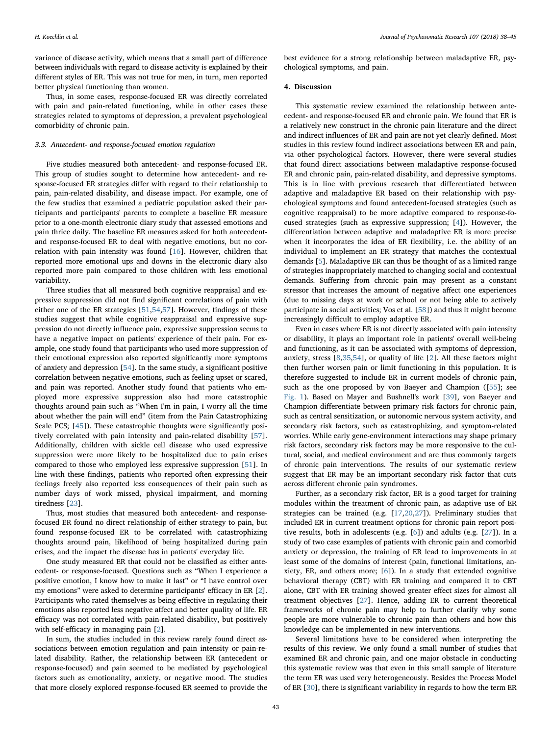variance of disease activity, which means that a small part of difference between individuals with regard to disease activity is explained by their different styles of ER. This was not true for men, in turn, men reported better physical functioning than women.

Thus, in some cases, response-focused ER was directly correlated with pain and pain-related functioning, while in other cases these strategies related to symptoms of depression, a prevalent psychological comorbidity of chronic pain.

#### 3.3. Antecedent- and response-focused emotion regulation

Five studies measured both antecedent- and response-focused ER. This group of studies sought to determine how antecedent- and response-focused ER strategies differ with regard to their relationship to pain, pain-related disability, and disease impact. For example, one of the few studies that examined a pediatric population asked their participants and participants' parents to complete a baseline ER measure prior to a one-month electronic diary study that assessed emotions and pain thrice daily. The baseline ER measures asked for both antecedentand response-focused ER to deal with negative emotions, but no correlation with pain intensity was found [\[16](#page-6-21)]. However, children that reported more emotional ups and downs in the electronic diary also reported more pain compared to those children with less emotional variability.

Three studies that all measured both cognitive reappraisal and expressive suppression did not find significant correlations of pain with either one of the ER strategies [[51,](#page-7-22)[54](#page-7-20)[,57](#page-7-21)]. However, findings of these studies suggest that while cognitive reappraisal and expressive suppression do not directly influence pain, expressive suppression seems to have a negative impact on patients' experience of their pain. For example, one study found that participants who used more suppression of their emotional expression also reported significantly more symptoms of anxiety and depression [[54\]](#page-7-20). In the same study, a significant positive correlation between negative emotions, such as feeling upset or scared, and pain was reported. Another study found that patients who employed more expressive suppression also had more catastrophic thoughts around pain such as "When I'm in pain, I worry all the time about whether the pain will end" (item from the Pain Catastrophizing Scale PCS; [\[45](#page-7-23)]). These catastrophic thoughts were significantly positively correlated with pain intensity and pain-related disability [\[57](#page-7-21)]. Additionally, children with sickle cell disease who used expressive suppression were more likely to be hospitalized due to pain crises compared to those who employed less expressive suppression [\[51](#page-7-22)]. In line with these findings, patients who reported often expressing their feelings freely also reported less consequences of their pain such as number days of work missed, physical impairment, and morning tiredness [\[23](#page-6-22)].

Thus, most studies that measured both antecedent- and responsefocused ER found no direct relationship of either strategy to pain, but found response-focused ER to be correlated with catastrophizing thoughts around pain, likelihood of being hospitalized during pain crises, and the impact the disease has in patients' everyday life.

One study measured ER that could not be classified as either antecedent- or response-focused. Questions such as "When I experience a positive emotion, I know how to make it last" or "I have control over my emotions" were asked to determine participants' efficacy in ER [[2](#page-6-20)]. Participants who rated themselves as being effective in regulating their emotions also reported less negative affect and better quality of life. ER efficacy was not correlated with pain-related disability, but positively with self-efficacy in managing pain [\[2\]](#page-6-20).

In sum, the studies included in this review rarely found direct associations between emotion regulation and pain intensity or pain-related disability. Rather, the relationship between ER (antecedent or response-focused) and pain seemed to be mediated by psychological factors such as emotionality, anxiety, or negative mood. The studies that more closely explored response-focused ER seemed to provide the

best evidence for a strong relationship between maladaptive ER, psychological symptoms, and pain.

### 4. Discussion

This systematic review examined the relationship between antecedent- and response-focused ER and chronic pain. We found that ER is a relatively new construct in the chronic pain literature and the direct and indirect influences of ER and pain are not yet clearly defined. Most studies in this review found indirect associations between ER and pain, via other psychological factors. However, there were several studies that found direct associations between maladaptive response-focused ER and chronic pain, pain-related disability, and depressive symptoms. This is in line with previous research that differentiated between adaptive and maladaptive ER based on their relationship with psychological symptoms and found antecedent-focused strategies (such as cognitive reappraisal) to be more adaptive compared to response-focused strategies (such as expressive suppression; [[4](#page-6-11)]). However, the differentiation between adaptive and maladaptive ER is more precise when it incorporates the idea of ER flexibility, i.e. the ability of an individual to implement an ER strategy that matches the contextual demands [[5](#page-6-10)]. Maladaptive ER can thus be thought of as a limited range of strategies inappropriately matched to changing social and contextual demands. Suffering from chronic pain may present as a constant stressor that increases the amount of negative affect one experiences (due to missing days at work or school or not being able to actively participate in social activities; Vos et al. [\[58](#page-7-24)]) and thus it might become increasingly difficult to employ adaptive ER.

Even in cases where ER is not directly associated with pain intensity or disability, it plays an important role in patients' overall well-being and functioning, as it can be associated with symptoms of depression, anxiety, stress [\[8,](#page-6-19)[35,](#page-7-17)[54\]](#page-7-20), or quality of life [\[2\]](#page-6-20). All these factors might then further worsen pain or limit functioning in this population. It is therefore suggested to include ER in current models of chronic pain, such as the one proposed by von Baeyer and Champion ([\[55\]](#page-7-1); see [Fig. 1](#page-1-0)). Based on Mayer and Bushnell's work [\[39](#page-7-25)], von Baeyer and Champion differentiate between primary risk factors for chronic pain, such as central sensitization, or autonomic nervous system activity, and secondary risk factors, such as catastrophizing, and symptom-related worries. While early gene-environment interactions may shape primary risk factors, secondary risk factors may be more responsive to the cultural, social, and medical environment and are thus commonly targets of chronic pain interventions. The results of our systematic review suggest that ER may be an important secondary risk factor that cuts across different chronic pain syndromes.

Further, as a secondary risk factor, ER is a good target for training modules within the treatment of chronic pain, as adaptive use of ER strategies can be trained (e.g. [\[17](#page-6-13),[20](#page-6-23),[27\]](#page-7-13)). Preliminary studies that included ER in current treatment options for chronic pain report positive results, both in adolescents (e.g. [\[6](#page-6-24)]) and adults (e.g. [[27\]](#page-7-13)). In a study of two case examples of patients with chronic pain and comorbid anxiety or depression, the training of ER lead to improvements in at least some of the domains of interest (pain, functional limitations, anxiety, ER, and others more; [[6](#page-6-24)]). In a study that extended cognitive behavioral therapy (CBT) with ER training and compared it to CBT alone, CBT with ER training showed greater effect sizes for almost all treatment objectives [\[27](#page-7-13)]. Hence, adding ER to current theoretical frameworks of chronic pain may help to further clarify why some people are more vulnerable to chronic pain than others and how this knowledge can be implemented in new interventions.

Several limitations have to be considered when interpreting the results of this review. We only found a small number of studies that examined ER and chronic pain, and one major obstacle in conducting this systematic review was that even in this small sample of literature the term ER was used very heterogeneously. Besides the Process Model of ER [[30\]](#page-7-8), there is significant variability in regards to how the term ER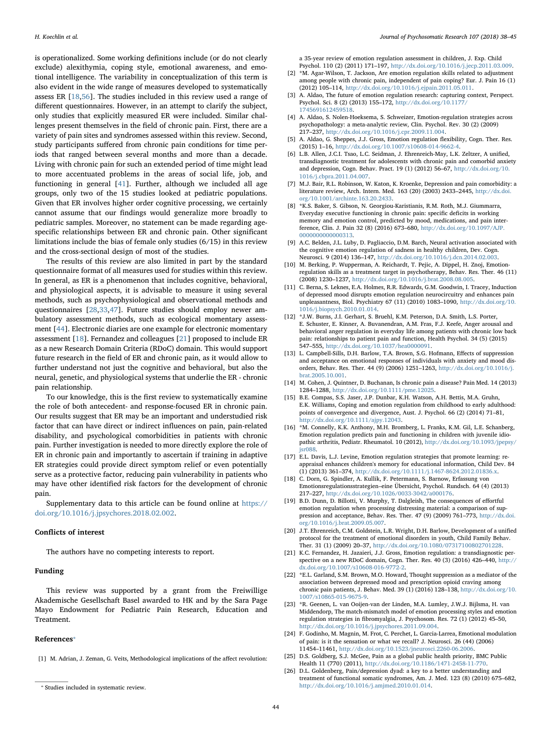is operationalized. Some working definitions include (or do not clearly exclude) alexithymia, coping style, emotional awareness, and emotional intelligence. The variability in conceptualization of this term is also evident in the wide range of measures developed to systematically assess ER [[18](#page-6-7)[,56](#page-7-7)]. The studies included in this review used a range of different questionnaires. However, in an attempt to clarify the subject, only studies that explicitly measured ER were included. Similar challenges present themselves in the field of chronic pain. First, there are a variety of pain sites and syndromes assessed within this review. Second, study participants suffered from chronic pain conditions for time periods that ranged between several months and more than a decade. Living with chronic pain for such an extended period of time might lead to more accentuated problems in the areas of social life, job, and functioning in general [\[41](#page-7-26)]. Further, although we included all age groups, only two of the 15 studies looked at pediatric populations. Given that ER involves higher order cognitive processing, we certainly cannot assume that our findings would generalize more broadly to pediatric samples. Moreover, no statement can be made regarding agespecific relationships between ER and chronic pain. Other significant limitations include the bias of female only studies (6/15) in this review and the cross-sectional design of most of the studies.

The results of this review are also limited in part by the standard questionnaire format of all measures used for studies within this review. In general, as ER is a phenomenon that includes cognitive, behavioral, and physiological aspects, it is advisable to measure it using several methods, such as psychophysiological and observational methods and questionnaires [\[28](#page-7-27)[,33](#page-7-28)[,47](#page-7-29)]. Future studies should employ newer ambulatory assessment methods, such as ecological momentary assessment [[44\]](#page-7-30). Electronic diaries are one example for electronic momentary assessment [[18](#page-6-7)]. Fernandez and colleagues [\[21](#page-6-25)] proposed to include ER as a new Research Domain Criteria (RDoC) domain. This would support future research in the field of ER and chronic pain, as it would allow to further understand not just the cognitive and behavioral, but also the neural, genetic, and physiological systems that underlie the ER - chronic pain relationship.

To our knowledge, this is the first review to systematically examine the role of both antecedent- and response-focused ER in chronic pain. Our results suggest that ER may be an important and understudied risk factor that can have direct or indirect influences on pain, pain-related disability, and psychological comorbidities in patients with chronic pain. Further investigation is needed to more directly explore the role of ER in chronic pain and importantly to ascertain if training in adaptive ER strategies could provide direct symptom relief or even potentially serve as a protective factor, reducing pain vulnerability in patients who may have other identified risk factors for the development of chronic pain.

Supplementary data to this article can be found online at [https://](https://doi.org/10.1016/j.jpsychores.2018.02.002) [doi.org/10.1016/j.jpsychores.2018.02.002](https://doi.org/10.1016/j.jpsychores.2018.02.002).

#### Conflicts of interest

The authors have no competing interests to report.

## Funding

This review was supported by a grant from the Freiwillige Akademische Gesellschaft Basel awarded to HK and by the Sara Page Mayo Endowment for Pediatric Pain Research, Education and Treatment.

#### References[⁎](#page-6-26)

<span id="page-6-6"></span>[1] M. Adrian, J. Zeman, G. Veits, Methodological implications of the affect revolution:

a 35-year review of emotion regulation assessment in children, J. Exp. Child Psychol. 110 (2) (2011) 171–197, [http://dx.doi.org/10.1016/j.jecp.2011.03.009.](http://dx.doi.org/10.1016/j.jecp.2011.03.009)

- <span id="page-6-20"></span>[2] \*M. Agar-Wilson, T. Jackson, Are emotion regulation skills related to adjustment among people with chronic pain, independent of pain coping? Eur. J. Pain 16 (1) (2012) 105–114, [http://dx.doi.org/10.1016/j.ejpain.2011.05.011.](http://dx.doi.org/10.1016/j.ejpain.2011.05.011)
- <span id="page-6-9"></span>[3] A. Aldao, The future of emotion regulation research: capturing context, Perspect. Psychol. Sci. 8 (2) (2013) 155–172, [http://dx.doi.org/10.1177/](http://dx.doi.org/10.1177/1745691612459518) [1745691612459518.](http://dx.doi.org/10.1177/1745691612459518)
- <span id="page-6-11"></span>[4] A. Aldao, S. Nolen-Hoeksema, S. Schweizer, Emotion-regulation strategies across psychopathology: a meta-analytic review, Clin. Psychol. Rev. 30 (2) (2009) 217–237, [http://dx.doi.org/10.1016/j.cpr.2009.11.004.](http://dx.doi.org/10.1016/j.cpr.2009.11.004)
- <span id="page-6-10"></span>[5] A. Aldao, G. Sheppes, J.J. Gross, Emotion regulation flexibility, Cogn. Ther. Res. (2015) 1–16, [http://dx.doi.org/10.1007/s10608-014-9662-4.](http://dx.doi.org/10.1007/s10608-014-9662-4)
- <span id="page-6-24"></span>[6] L.B. Allen, J.C.I. Tsao, L.C. Seidman, J. Ehrenreich-May, L.K. Zeltzer, A unified, transdiagnostic treatment for adolescents with chronic pain and comorbid anxiety and depression, Cogn. Behav. Pract. 19 (1) (2012) 56–67, [http://dx.doi.org/10.](http://dx.doi.org/10.1016/j.cbpra.2011.04.007) [1016/j.cbpra.2011.04.007.](http://dx.doi.org/10.1016/j.cbpra.2011.04.007)
- <span id="page-6-4"></span>[7] M.J. Bair, R.L. Robinson, W. Katon, K. Kroenke, Depression and pain comorbidity: a literature review, Arch. Intern. Med. 163 (20) (2003) 2433–2445, [http://dx.doi.](http://dx.doi.org/10.1001/archinte.163.20.2433) [org/10.1001/archinte.163.20.2433.](http://dx.doi.org/10.1001/archinte.163.20.2433)
- <span id="page-6-19"></span>[8] \*K.S. Baker, S. Gibson, N. Georgiou-Karistianis, R.M. Roth, M.J. Giummarra, Everyday executive functioning in chronic pain: specific deficits in working memory and emotion control, predicted by mood, medications, and pain interference, Clin. J. Pain 32 (8) (2016) 673–680, [http://dx.doi.org/10.1097/AJP.](http://dx.doi.org/10.1097/AJP.0000000000000313) [0000000000000313.](http://dx.doi.org/10.1097/AJP.0000000000000313)
- <span id="page-6-12"></span>[9] A.C. Belden, J.L. Luby, D. Pagliaccio, D.M. Barch, Neural activation associated with the cognitive emotion regulation of sadness in healthy children, Dev. Cogn. Neurosci. 9 (2014) 136–147, [http://dx.doi.org/10.1016/j.dcn.2014.02.003.](http://dx.doi.org/10.1016/j.dcn.2014.02.003)
- <span id="page-6-16"></span>[10] M. Berking, P. Wupperman, A. Reichardt, T. Pejic, A. Dippel, H. Znoj, Emotionregulation skills as a treatment target in psychotherapy, Behav. Res. Ther. 46 (11) (2008) 1230–1237, [http://dx.doi.org/10.1016/j.brat.2008.08.005.](http://dx.doi.org/10.1016/j.brat.2008.08.005)
- <span id="page-6-3"></span>[11] C. Berna, S. Leknes, E.A. Holmes, R.R. Edwards, G.M. Goodwin, I. Tracey, Induction of depressed mood disrupts emotion regulation neurocircuitry and enhances pain unpleasantness, Biol. Psychiatry 67 (11) (2010) 1083–1090, [http://dx.doi.org/10.](http://dx.doi.org/10.1016/j.biopsych.2010.01.014) [1016/j.biopsych.2010.01.014.](http://dx.doi.org/10.1016/j.biopsych.2010.01.014)
- <span id="page-6-18"></span>[12] \*J.W. Burns, J.I. Gerhart, S. Bruehl, K.M. Peterson, D.A. Smith, L.S. Porter, E. Schuster, E. Kinner, A. Buvanendran, A.M. Fras, F.J. Keefe, Anger arousal and behavioral anger regulation in everyday life among patients with chronic low back pain: relationships to patient pain and function, Health Psychol. 34 (5) (2015) 547–555, [http://dx.doi.org/10.1037/hea0000091.](http://dx.doi.org/10.1037/hea0000091)
- <span id="page-6-15"></span>[13] L. Campbell-Sills, D.H. Barlow, T.A. Brown, S.G. Hofmann, Effects of suppression and acceptance on emotional responses of individuals with anxiety and mood disorders, Behav. Res. Ther. 44 (9) (2006) 1251–1263, [http://dx.doi.org/10.1016/j.](http://dx.doi.org/10.1016/j.brat.2005.10.001) [brat.2005.10.001.](http://dx.doi.org/10.1016/j.brat.2005.10.001)
- <span id="page-6-0"></span>[14] M. Cohen, J. Quintner, D. Buchanan, Is chronic pain a disease? Pain Med. 14 (2013) 1284–1288, [http://dx.doi.org/10.1111/pme.12025.](http://dx.doi.org/10.1111/pme.12025)
- <span id="page-6-8"></span>[15] B.E. Compas, S.S. Jaser, J.P. Dunbar, K.H. Watson, A.H. Bettis, M.A. Gruhn, E.K. Williams, Coping and emotion regulation from childhood to early adulthood: points of convergence and divergence, Aust. J. Psychol. 66 (2) (2014) 71–81, [http://dx.doi.org/10.1111/ajpy.12043.](http://dx.doi.org/10.1111/ajpy.12043)
- <span id="page-6-21"></span>[16] \*M. Connelly, K.K. Anthony, M.H. Bromberg, L. Franks, K.M. Gil, L.E. Schanberg, Emotion regulation predicts pain and functioning in children with juvenile idiopathic arthritis, Pediatr. Rheumatol. 10 (2012), [http://dx.doi.org/10.1093/jpepsy/](http://dx.doi.org/10.1093/jpepsy/jsr088) sr088.
- <span id="page-6-13"></span>[17] E.L. Davis, L.J. Levine, Emotion regulation strategies that promote learning: reappraisal enhances children's memory for educational information, Child Dev. 84 (1) (2013) 361–374, [http://dx.doi.org/10.1111/j.1467-8624.2012.01836.x.](http://dx.doi.org/10.1111/j.1467-8624.2012.01836.x)
- <span id="page-6-7"></span>[18] C. Dorn, G. Spindler, A. Kullik, F. Petermann, S. Barnow, Erfassung von Emotionsregulationsstrategien–eine Übersicht, Psychol. Rundsch. 64 (4) (2013) 217–227, [http://dx.doi.org/10.1026/0033-3042/a000176.](http://dx.doi.org/10.1026/0033-3042/a000176)
- <span id="page-6-14"></span>[19] B.D. Dunn, D. Billotti, V. Murphy, T. Dalgleish, The consequences of effortful emotion regulation when processing distressing material: a comparison of suppression and acceptance, Behav. Res. Ther. 47 (9) (2009) 761–773, [http://dx.doi.](http://dx.doi.org/10.1016/j.brat.2009.05.007) rg/10.1016/j.brat.2009.05.007.
- <span id="page-6-23"></span>[20] J.T. Ehrenreich, C.M. Goldstein, L.R. Wright, D.H. Barlow, Development of a unified protocol for the treatment of emotional disorders in youth, Child Family Behav. Ther. 31 (1) (2009) 20–37, [http://dx.doi.org/10.1080/07317100802701228.](http://dx.doi.org/10.1080/07317100802701228)
- <span id="page-6-25"></span>[21] K.C. Fernandez, H. Jazaieri, J.J. Gross, Emotion regulation: a transdiagnostic perspective on a new RDoC domain, Cogn. Ther. Res. 40 (3) (2016) 426–440, [http://](http://dx.doi.org/10.1007/s10608-016-9772-2) [dx.doi.org/10.1007/s10608-016-9772-2.](http://dx.doi.org/10.1007/s10608-016-9772-2)
- <span id="page-6-17"></span>[22] \*E.L. Garland, S.M. Brown, M.O. Howard, Thought suppression as a mediator of the association between depressed mood and prescription opioid craving among chronic pain patients, J. Behav. Med. 39 (1) (2016) 128–138, [http://dx.doi.org/10.](http://dx.doi.org/10.1007/s10865-015-9675-9) [1007/s10865-015-9675-9.](http://dx.doi.org/10.1007/s10865-015-9675-9)
- <span id="page-6-22"></span>[23] \*R. Geenen, L. van Ooijen-van der Linden, M.A. Lumley, J.W.J. Bijlsma, H. van Middendorp, The match-mismatch model of emotion processing styles and emotion regulation strategies in fibromyalgia, J. Psychosom. Res. 72 (1) (2012) 45–50, [http://dx.doi.org/10.1016/j.jpsychores.2011.09.004.](http://dx.doi.org/10.1016/j.jpsychores.2011.09.004)
- <span id="page-6-2"></span>[24] F. Godinho, M. Magnin, M. Frot, C. Perchet, L. Garcia-Larrea, Emotional modulation of pain: is it the sensation or what we recall? J. Neurosci. 26 (44) (2006) 11454–11461, [http://dx.doi.org/10.1523/jneurosci.2260-06.2006.](http://dx.doi.org/10.1523/jneurosci.2260-06.2006)
- <span id="page-6-5"></span><span id="page-6-1"></span>[25] D.S. Goldberg, S.J. McGee, Pain as a global public health priority, BMC Public Health 11 (770) (2011), [http://dx.doi.org/10.1186/1471-2458-11-770.](http://dx.doi.org/10.1186/1471-2458-11-770)
- [26] D.L. Goldenberg, Pain/depression dyad: a key to a better understanding and treatment of functional somatic syndromes, Am. J. Med. 123 (8) (2010) 675–682, ⁎ [http://dx.doi.org/10.1016/j.amjmed.2010.01.014.](http://dx.doi.org/10.1016/j.amjmed.2010.01.014) Studies included in systematic review.

<span id="page-6-26"></span>